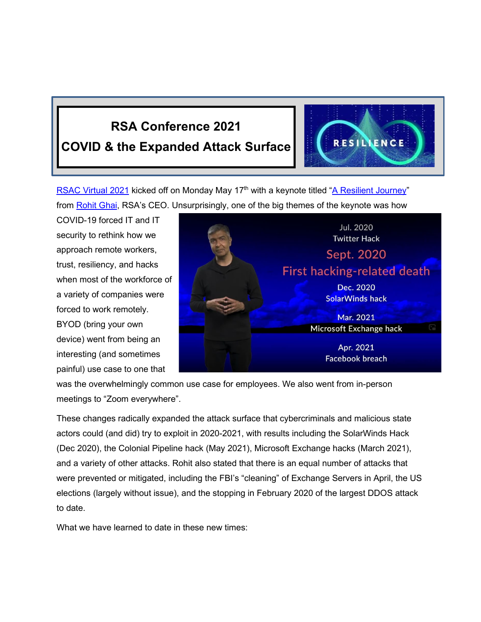## **RSA Conference 2021 COVID & the Expanded Attack Surface**



[RSAC Virtual 2021](http://www.rsaconference.com/) kicked off on Monday May 17<sup>th</sup> with a keynote titled ["A Resilient Journey"](https://path.rsaconference.com/flow/rsac/us21/rsacus21session/page/sessionagenda/session/1613592554705001Pd6a) from [Rohit Ghai,](https://www.linkedin.com/in/rohitghai/) RSA's CEO. Unsurprisingly, one of the big themes of the keynote was how

COVID-19 forced IT and IT security to rethink how we approach remote workers, trust, resiliency, and hacks when most of the workforce of a variety of companies were forced to work remotely. BYOD (bring your own device) went from being an interesting (and sometimes painful) use case to one that



was the overwhelmingly common use case for employees. We also went from in-person meetings to "Zoom everywhere".

These changes radically expanded the attack surface that cybercriminals and malicious state actors could (and did) try to exploit in 2020-2021, with results including the SolarWinds Hack (Dec 2020), the Colonial Pipeline hack (May 2021), Microsoft Exchange hacks (March 2021), and a variety of other attacks. Rohit also stated that there is an equal number of attacks that were prevented or mitigated, including the FBI's "cleaning" of Exchange Servers in April, the US elections (largely without issue), and the stopping in February 2020 of the largest DDOS attack to date.

What we have learned to date in these new times: